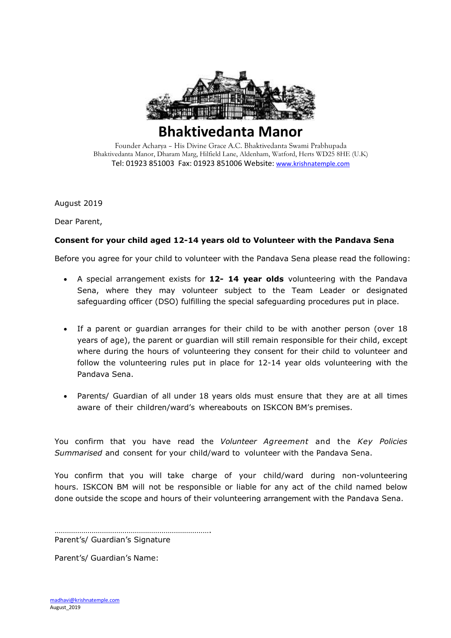

## **Bhaktivedanta Manor**

Founder Acharya – His Divine Grace A.C. Bhaktivedanta Swami Prabhupada Bhaktivedanta Manor, Dharam Marg, Hilfield Lane, Aldenham, Watford, Herts WD25 8HE (U.K) Tel: 01923 851003 Fax: 01923 851006 Website: [www.krishnatemple.com](http://www.krishnatemple.com/)

August 2019

Dear Parent,

## **Consent for your child aged 12-14 years old to Volunteer with the Pandava Sena**

Before you agree for your child to volunteer with the Pandava Sena please read the following:

- A special arrangement exists for **12- 14 year olds** volunteering with the Pandava Sena, where they may volunteer subject to the Team Leader or designated safeguarding officer (DSO) fulfilling the special safeguarding procedures put in place.
- If a parent or guardian arranges for their child to be with another person (over 18 years of age), the parent or guardian will still remain responsible for their child, except where during the hours of volunteering they consent for their child to volunteer and follow the volunteering rules put in place for 12-14 year olds volunteering with the Pandava Sena.
- Parents/ Guardian of all under 18 years olds must ensure that they are at all times aware of their children/ward's whereabouts on ISKCON BM's premises.

You confirm that you have read the *Volunteer Agreement* and the *Key Policies Summarised* and consent for your child/ward to volunteer with the Pandava Sena.

You confirm that you will take charge of your child/ward during non-volunteering hours. ISKCON BM will not be responsible or liable for any act of the child named below done outside the scope and hours of their volunteering arrangement with the Pandava Sena.

…………………………………………………………………. Parent's/ Guardian's Signature

Parent's/ Guardian's Name: